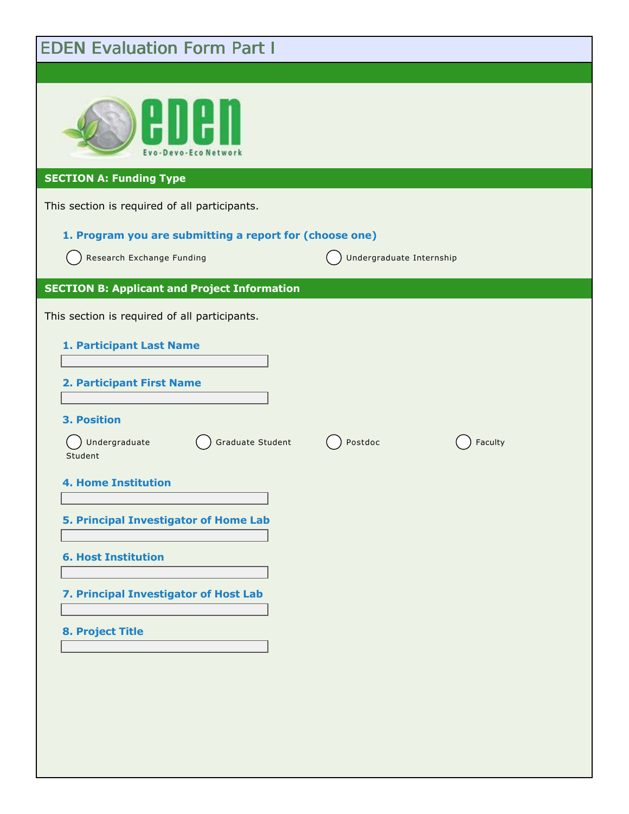| <b>EDEN Evaluation Form Part I</b>                                                                                                                                |  |
|-------------------------------------------------------------------------------------------------------------------------------------------------------------------|--|
| Evo-Devo-Eco Network                                                                                                                                              |  |
| <b>SECTION A: Funding Type</b>                                                                                                                                    |  |
| This section is required of all participants.<br>1. Program you are submitting a report for (choose one)<br>Research Exchange Funding<br>Undergraduate Internship |  |
| <b>SECTION B: Applicant and Project Information</b>                                                                                                               |  |
| This section is required of all participants.                                                                                                                     |  |
| 1. Participant Last Name                                                                                                                                          |  |
| 2. Participant First Name                                                                                                                                         |  |
| <b>3. Position</b><br>Undergraduate<br>Graduate Student<br>Postdoc<br>Faculty<br>Student                                                                          |  |
| <b>4. Home Institution</b>                                                                                                                                        |  |
| <b>5. Principal Investigator of Home Lab</b>                                                                                                                      |  |
| <b>6. Host Institution</b>                                                                                                                                        |  |
| 7. Principal Investigator of Host Lab                                                                                                                             |  |
| 8. Project Title                                                                                                                                                  |  |
|                                                                                                                                                                   |  |
|                                                                                                                                                                   |  |
|                                                                                                                                                                   |  |
|                                                                                                                                                                   |  |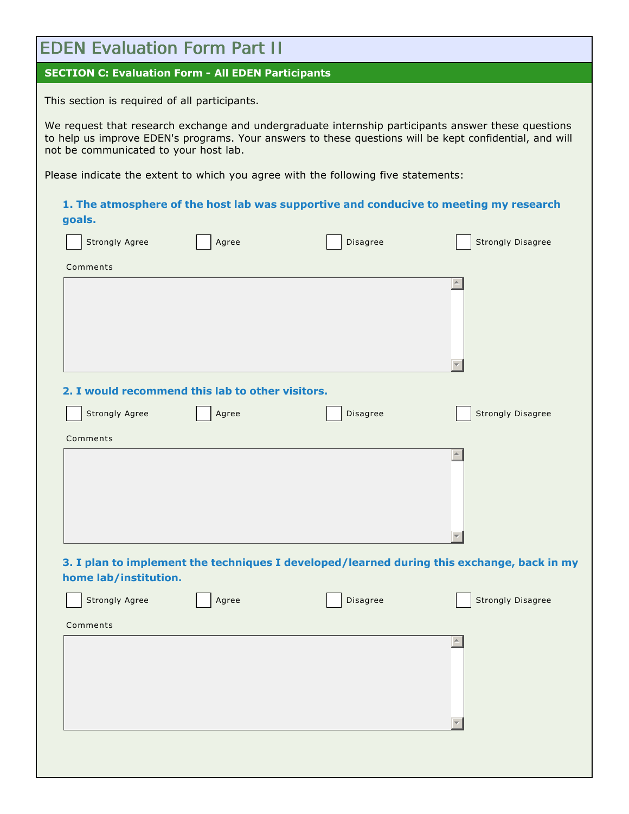| <b>EDEN Evaluation Form Part II</b>                                               |       |          |                                                                                                                                                                                                               |
|-----------------------------------------------------------------------------------|-------|----------|---------------------------------------------------------------------------------------------------------------------------------------------------------------------------------------------------------------|
| <b>SECTION C: Evaluation Form - All EDEN Participants</b>                         |       |          |                                                                                                                                                                                                               |
| This section is required of all participants.                                     |       |          |                                                                                                                                                                                                               |
| not be communicated to your host lab.                                             |       |          | We request that research exchange and undergraduate internship participants answer these questions<br>to help us improve EDEN's programs. Your answers to these questions will be kept confidential, and will |
| Please indicate the extent to which you agree with the following five statements: |       |          |                                                                                                                                                                                                               |
| goals.                                                                            |       |          | 1. The atmosphere of the host lab was supportive and conducive to meeting my research                                                                                                                         |
| Strongly Agree                                                                    | Agree | Disagree | Strongly Disagree                                                                                                                                                                                             |
| Comments                                                                          |       |          |                                                                                                                                                                                                               |
|                                                                                   |       |          |                                                                                                                                                                                                               |
|                                                                                   |       |          |                                                                                                                                                                                                               |
| 2. I would recommend this lab to other visitors.                                  |       |          |                                                                                                                                                                                                               |
| Strongly Agree                                                                    | Agree | Disagree | <b>Strongly Disagree</b>                                                                                                                                                                                      |
| Comments                                                                          |       |          | $\blacktriangle$                                                                                                                                                                                              |
|                                                                                   |       |          | 3. I plan to implement the techniques I developed/learned during this exchange, back in my                                                                                                                    |
| home lab/institution.                                                             |       |          |                                                                                                                                                                                                               |
| Strongly Agree                                                                    | Agree | Disagree | Strongly Disagree                                                                                                                                                                                             |
| Comments                                                                          |       |          |                                                                                                                                                                                                               |
|                                                                                   |       |          |                                                                                                                                                                                                               |
|                                                                                   |       |          |                                                                                                                                                                                                               |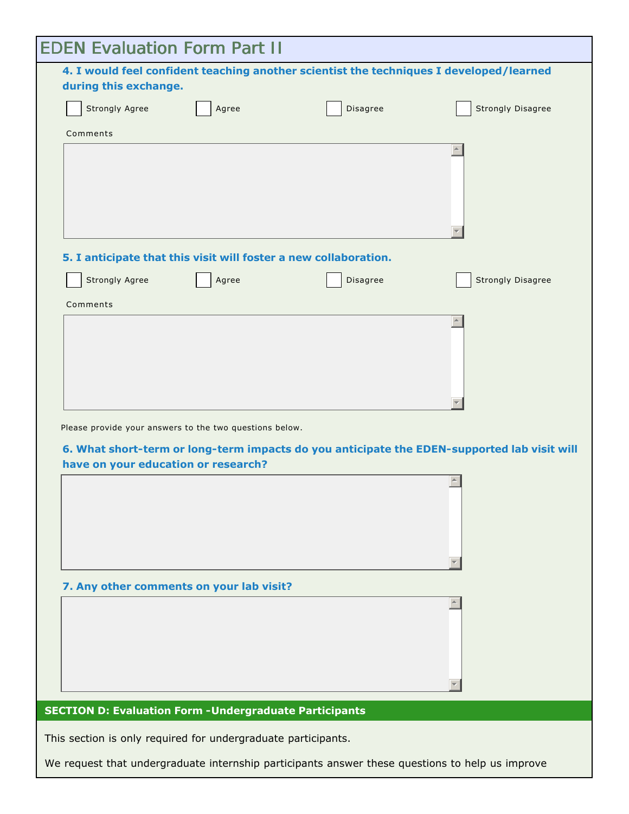|                       | <b>EDEN Evaluation Form Part II</b>                                                            |                                                                                                 |                                                                                             |
|-----------------------|------------------------------------------------------------------------------------------------|-------------------------------------------------------------------------------------------------|---------------------------------------------------------------------------------------------|
| during this exchange. |                                                                                                |                                                                                                 | 4. I would feel confident teaching another scientist the techniques I developed/learned     |
| Strongly Agree        | Agree                                                                                          | Disagree                                                                                        | Strongly Disagree                                                                           |
| Comments              |                                                                                                |                                                                                                 |                                                                                             |
|                       |                                                                                                |                                                                                                 |                                                                                             |
| Strongly Agree        | 5. I anticipate that this visit will foster a new collaboration.<br>Agree                      | Disagree                                                                                        | Strongly Disagree                                                                           |
| Comments              |                                                                                                |                                                                                                 |                                                                                             |
|                       |                                                                                                |                                                                                                 |                                                                                             |
|                       | Please provide your answers to the two questions below.<br>have on your education or research? |                                                                                                 | 6. What short-term or long-term impacts do you anticipate the EDEN-supported lab visit will |
|                       |                                                                                                |                                                                                                 |                                                                                             |
|                       | 7. Any other comments on your lab visit?                                                       |                                                                                                 |                                                                                             |
|                       |                                                                                                |                                                                                                 |                                                                                             |
|                       | <b>SECTION D: Evaluation Form - Undergraduate Participants</b>                                 |                                                                                                 |                                                                                             |
|                       | This section is only required for undergraduate participants.                                  |                                                                                                 |                                                                                             |
|                       |                                                                                                | We request that undergraduate internship participants answer these questions to help us improve |                                                                                             |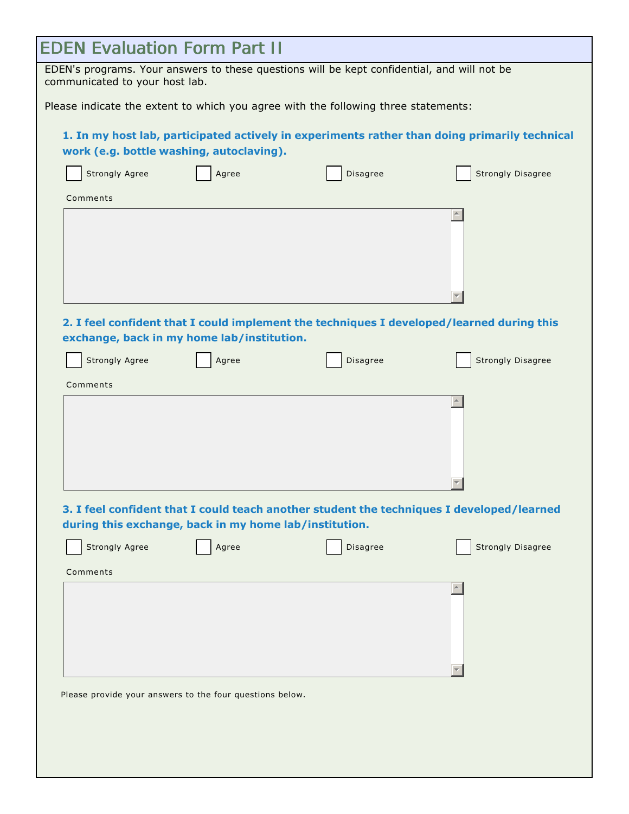|                                | <b>EDEN Evaluation Form Part II</b>                      |                                                                                             |                                                                                               |
|--------------------------------|----------------------------------------------------------|---------------------------------------------------------------------------------------------|-----------------------------------------------------------------------------------------------|
| communicated to your host lab. |                                                          | EDEN's programs. Your answers to these questions will be kept confidential, and will not be |                                                                                               |
|                                |                                                          | Please indicate the extent to which you agree with the following three statements:          |                                                                                               |
|                                | work (e.g. bottle washing, autoclaving).                 |                                                                                             | 1. In my host lab, participated actively in experiments rather than doing primarily technical |
| Strongly Agree                 | Agree                                                    | Disagree                                                                                    | Strongly Disagree                                                                             |
| Comments                       |                                                          |                                                                                             |                                                                                               |
|                                |                                                          |                                                                                             |                                                                                               |
|                                | exchange, back in my home lab/institution.               |                                                                                             | 2. I feel confident that I could implement the techniques I developed/learned during this     |
| Strongly Agree                 | Agree                                                    | Disagree                                                                                    | <b>Strongly Disagree</b>                                                                      |
| Comments                       |                                                          |                                                                                             |                                                                                               |
|                                |                                                          |                                                                                             |                                                                                               |
|                                | during this exchange, back in my home lab/institution.   |                                                                                             | 3. I feel confident that I could teach another student the techniques I developed/learned     |
| Strongly Agree                 | Agree                                                    | Disagree                                                                                    | <b>Strongly Disagree</b>                                                                      |
| Comments                       |                                                          |                                                                                             |                                                                                               |
|                                |                                                          |                                                                                             |                                                                                               |
|                                | Please provide your answers to the four questions below. |                                                                                             |                                                                                               |
|                                |                                                          |                                                                                             |                                                                                               |
|                                |                                                          |                                                                                             |                                                                                               |
|                                |                                                          |                                                                                             |                                                                                               |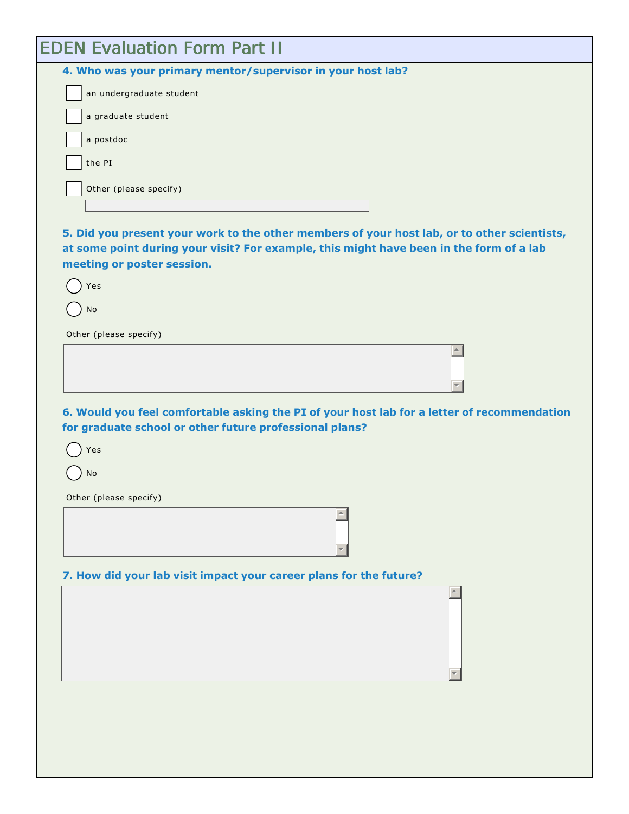|                            | <b>EDEN Evaluation Form Part II</b>                                                                                                                                                    |  |                  |  |
|----------------------------|----------------------------------------------------------------------------------------------------------------------------------------------------------------------------------------|--|------------------|--|
|                            | 4. Who was your primary mentor/supervisor in your host lab?                                                                                                                            |  |                  |  |
| an undergraduate student   |                                                                                                                                                                                        |  |                  |  |
| a graduate student         |                                                                                                                                                                                        |  |                  |  |
| a postdoc                  |                                                                                                                                                                                        |  |                  |  |
| the PI                     |                                                                                                                                                                                        |  |                  |  |
| Other (please specify)     |                                                                                                                                                                                        |  |                  |  |
|                            |                                                                                                                                                                                        |  |                  |  |
| meeting or poster session. | 5. Did you present your work to the other members of your host lab, or to other scientists,<br>at some point during your visit? For example, this might have been in the form of a lab |  |                  |  |
| Yes                        |                                                                                                                                                                                        |  |                  |  |
| No                         |                                                                                                                                                                                        |  |                  |  |
| Other (please specify)     |                                                                                                                                                                                        |  |                  |  |
|                            |                                                                                                                                                                                        |  | $\blacktriangle$ |  |
|                            |                                                                                                                                                                                        |  |                  |  |
|                            | 6. Would you feel comfortable asking the PI of your host lab for a letter of recommendation                                                                                            |  |                  |  |
| Yes<br>No                  | for graduate school or other future professional plans?                                                                                                                                |  |                  |  |
| Other (please specify)     |                                                                                                                                                                                        |  |                  |  |
|                            |                                                                                                                                                                                        |  |                  |  |
|                            | 7. How did your lab visit impact your career plans for the future?                                                                                                                     |  |                  |  |
|                            |                                                                                                                                                                                        |  |                  |  |
|                            |                                                                                                                                                                                        |  |                  |  |
|                            |                                                                                                                                                                                        |  |                  |  |
|                            |                                                                                                                                                                                        |  |                  |  |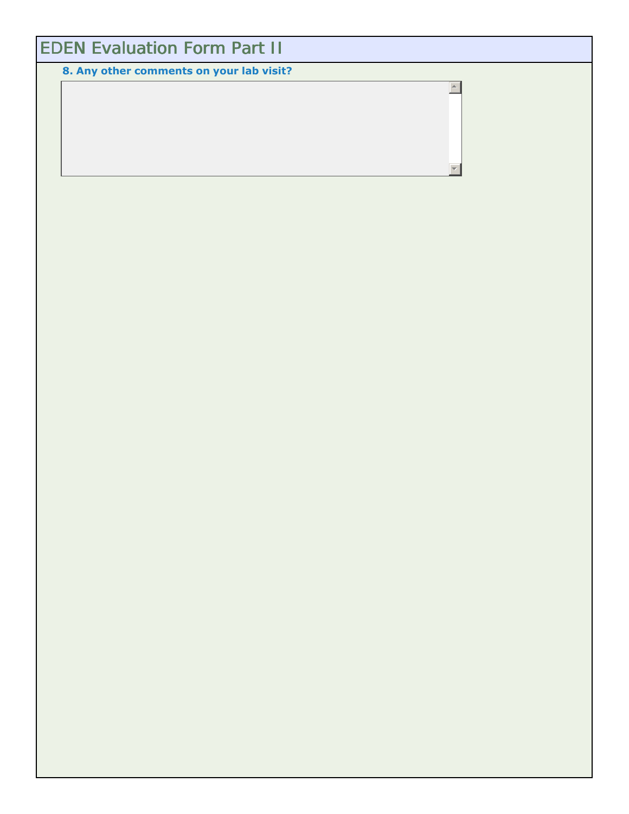# EDEN Evaluation Form Part II

**8. Any other comments on your lab visit?**

 $\overline{a}$ 

 $\overline{\mathbf{v}}$